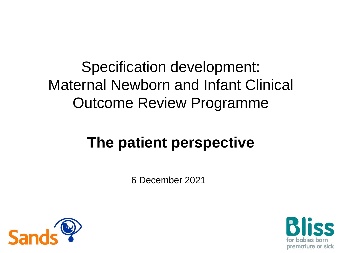Specification development: Maternal Newborn and Infant Clinical Outcome Review Programme

#### **The patient perspective**

6 December 2021



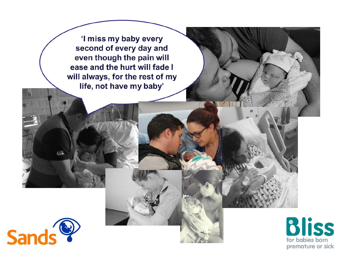'I miss my baby every second of every day and even though the pain will ease and the hurt will fade I will always, for the rest of my life, not have my baby'



666

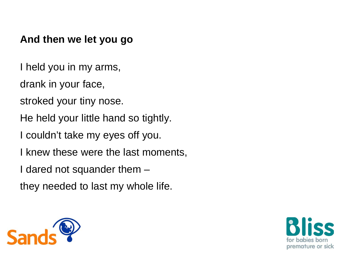#### **And then we let you go**

- I held you in my arms,
- drank in your face,
- stroked your tiny nose.
- He held your little hand so tightly.
- I couldn't take my eyes off you.
- I knew these were the last moments,
- I dared not squander them –
- they needed to last my whole life.



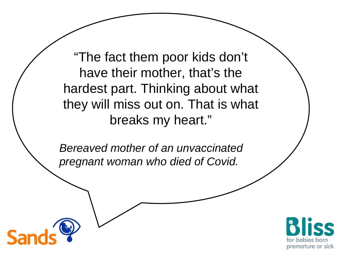"The fact them poor kids don't have their mother, that's the hardest part. Thinking about what they will miss out on. That is what breaks my heart."

*Bereaved mother of an unvaccinated pregnant woman who died of Covid.*

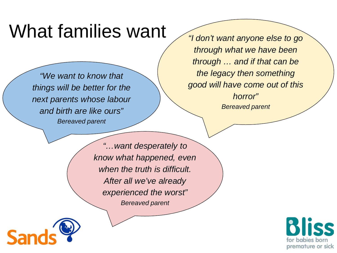#### What families want

*"We want to know that things will be better for the next parents whose labour and birth are like ours" Bereaved parent*

*"I don't want anyone else to go through what we have been through … and if that can be the legacy then something good will have come out of this horror" Bereaved parent*

*"…want desperately to know what happened, even when the truth is difficult. After all we've already experienced the worst" Bereaved parent*



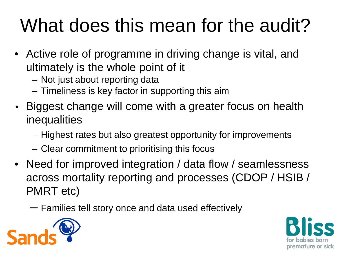# What does this mean for the audit?

- Active role of programme in driving change is vital, and ultimately is the whole point of it
	- Not just about reporting data
	- Timeliness is key factor in supporting this aim
- Biggest change will come with a greater focus on health inequalities
	- Highest rates but also greatest opportunity for improvements
	- Clear commitment to prioritising this focus
- Need for improved integration / data flow / seamlessness across mortality reporting and processes (CDOP / HSIB / PMRT etc)
	- Families tell story once and data used effectively



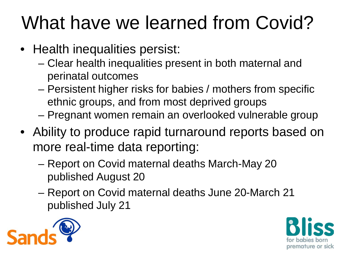# What have we learned from Covid?

- Health inequalities persist:
	- Clear health inequalities present in both maternal and perinatal outcomes
	- Persistent higher risks for babies / mothers from specific ethnic groups, and from most deprived groups
	- Pregnant women remain an overlooked vulnerable group
- Ability to produce rapid turnaround reports based on more real-time data reporting:
	- Report on Covid maternal deaths March-May 20 published August 20
	- Report on Covid maternal deaths June 20-March 21 published July 21



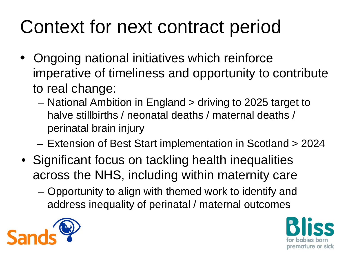## Context for next contract period

- Ongoing national initiatives which reinforce imperative of timeliness and opportunity to contribute to real change:
	- National Ambition in England > driving to 2025 target to halve stillbirths / neonatal deaths / maternal deaths / perinatal brain injury
	- Extension of Best Start implementation in Scotland > 2024
- Significant focus on tackling health inequalities across the NHS, including within maternity care
	- Opportunity to align with themed work to identify and address inequality of perinatal / maternal outcomes